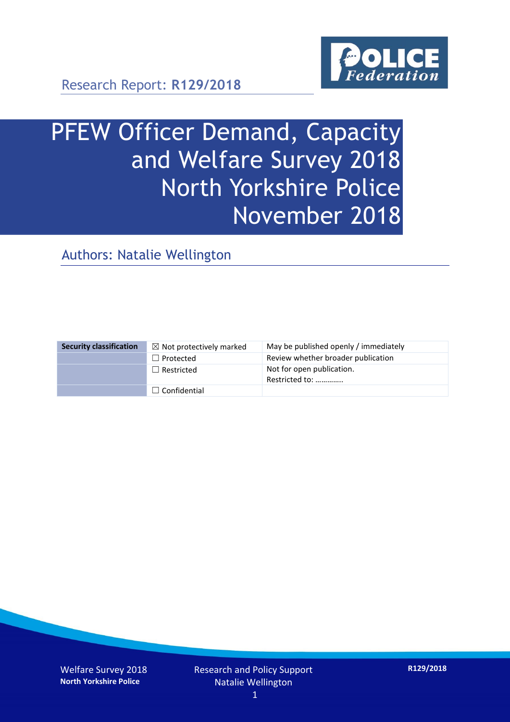

Research Report: **R129/2018**

# PFEW Officer Demand, Capacity and Welfare Survey 2018 North Yorkshire Police November 2018

Authors: Natalie Wellington

| <b>Security classification</b> | $\boxtimes$ Not protectively marked | May be published openly / immediately       |
|--------------------------------|-------------------------------------|---------------------------------------------|
|                                | $\Box$ Protected                    | Review whether broader publication          |
|                                | $\Box$ Restricted                   | Not for open publication.<br>Restricted to: |
|                                | $\Box$ Confidential                 |                                             |

Welfare Survey 2018 **North Yorkshire Police**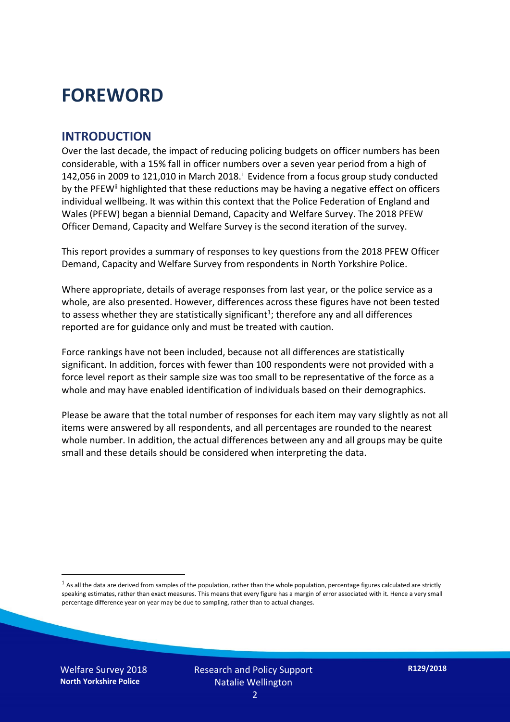# **FOREWORD**

#### **INTRODUCTION**

Over the last decade, the impact of reducing policing budgets on officer numbers has been considerable, with a 15% fall in officer numbers over a seven year period from a high of 142,056 in 2009 to 121,010 in March 2018. $^{\mathrm{i}}$  Evidence from a focus group study conducted by the PFEW<sup>ii</sup> highlighted that these reductions may be having a negative effect on officers individual wellbeing. It was within this context that the Police Federation of England and Wales (PFEW) began a biennial Demand, Capacity and Welfare Survey. The 2018 PFEW Officer Demand, Capacity and Welfare Survey is the second iteration of the survey.

This report provides a summary of responses to key questions from the 2018 PFEW Officer Demand, Capacity and Welfare Survey from respondents in North Yorkshire Police.

Where appropriate, details of average responses from last year, or the police service as a whole, are also presented. However, differences across these figures have not been tested to assess whether they are statistically significant<sup>1</sup>; therefore any and all differences reported are for guidance only and must be treated with caution.

Force rankings have not been included, because not all differences are statistically significant. In addition, forces with fewer than 100 respondents were not provided with a force level report as their sample size was too small to be representative of the force as a whole and may have enabled identification of individuals based on their demographics.

Please be aware that the total number of responses for each item may vary slightly as not all items were answered by all respondents, and all percentages are rounded to the nearest whole number. In addition, the actual differences between any and all groups may be quite small and these details should be considered when interpreting the data.

 $<sup>1</sup>$  As all the data are derived from samples of the population, rather than the whole population, percentage figures calculated are strictly</sup> speaking estimates, rather than exact measures. This means that every figure has a margin of error associated with it. Hence a very small percentage difference year on year may be due to sampling, rather than to actual changes.

Welfare Survey 2018 **North Yorkshire Police**

-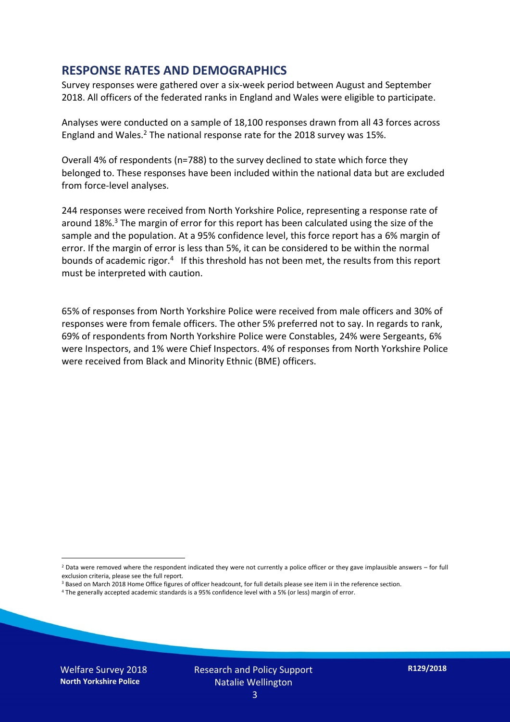#### **RESPONSE RATES AND DEMOGRAPHICS**

Survey responses were gathered over a six-week period between August and September 2018. All officers of the federated ranks in England and Wales were eligible to participate.

Analyses were conducted on a sample of 18,100 responses drawn from all 43 forces across England and Wales.<sup>2</sup> The national response rate for the 2018 survey was 15%.

Overall 4% of respondents (n=788) to the survey declined to state which force they belonged to. These responses have been included within the national data but are excluded from force-level analyses.

244 responses were received from North Yorkshire Police, representing a response rate of around 18%. <sup>3</sup> The margin of error for this report has been calculated using the size of the sample and the population. At a 95% confidence level, this force report has a 6% margin of error. If the margin of error is less than 5%, it can be considered to be within the normal bounds of academic rigor.<sup>4</sup> If this threshold has not been met, the results from this report must be interpreted with caution.

65% of responses from North Yorkshire Police were received from male officers and 30% of responses were from female officers. The other 5% preferred not to say. In regards to rank, 69% of respondents from North Yorkshire Police were Constables, 24% were Sergeants, 6% were Inspectors, and 1% were Chief Inspectors. 4% of responses from North Yorkshire Police were received from Black and Minority Ethnic (BME) officers.

-

 $2$  Data were removed where the respondent indicated they were not currently a police officer or they gave implausible answers – for full exclusion criteria, please see the full report.

<sup>3</sup> Based on March 2018 Home Office figures of officer headcount, for full details please see item ii in the reference section.

<sup>4</sup> The generally accepted academic standards is a 95% confidence level with a 5% (or less) margin of error.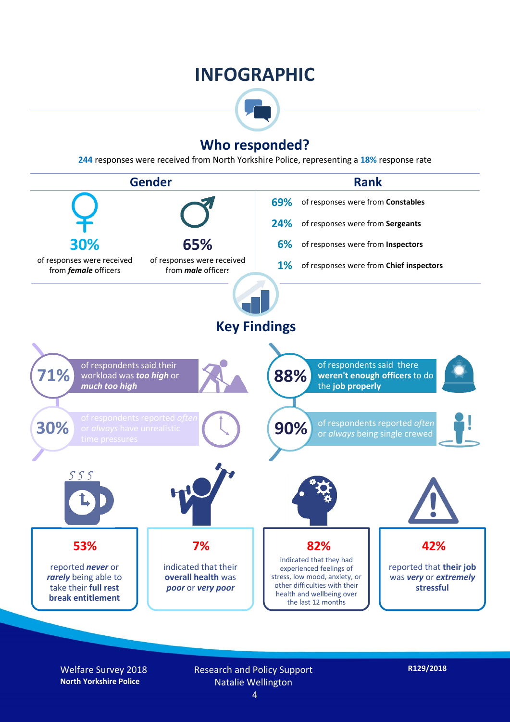# **INFOGRAPHIC**



## **Who responded?**

**244** responses were received from North Yorkshire Police, representing a **18%** response rate



Welfare Survey 2018 **North Yorkshire Police**

#### Research and Policy Support Natalie Wellington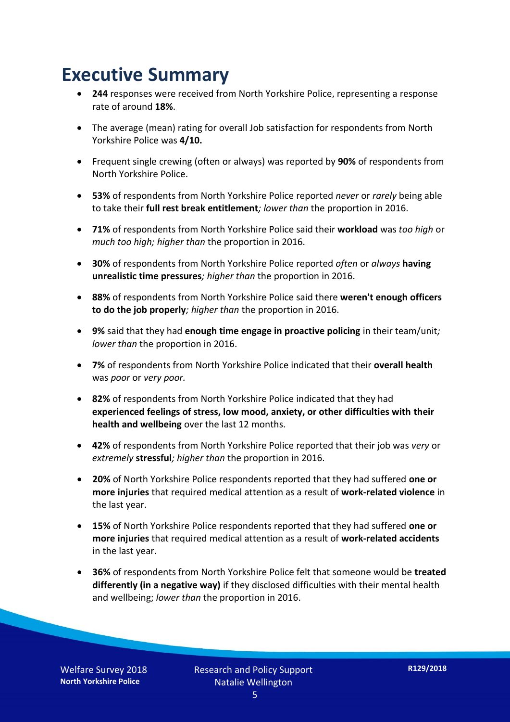# **Executive Summary**

- **244** responses were received from North Yorkshire Police, representing a response rate of around **18%**.
- The average (mean) rating for overall Job satisfaction for respondents from North Yorkshire Police was **4/10.**
- Frequent single crewing (often or always) was reported by **90%** of respondents from North Yorkshire Police.
- **53%** of respondents from North Yorkshire Police reported *never* or *rarely* being able to take their **full rest break entitlement***; lower than* the proportion in 2016.
- **71%** of respondents from North Yorkshire Police said their **workload** was *too high* or *much too high; higher than* the proportion in 2016.
- **30%** of respondents from North Yorkshire Police reported *often* or *always* **having unrealistic time pressures***; higher than* the proportion in 2016.
- **88%** of respondents from North Yorkshire Police said there **weren't enough officers to do the job properly***; higher than* the proportion in 2016.
- **9%** said that they had **enough time engage in proactive policing** in their team/unit*; lower than* the proportion in 2016.
- **7%** of respondents from North Yorkshire Police indicated that their **overall health** was *poor* or *very poor.*
- **82%** of respondents from North Yorkshire Police indicated that they had **experienced feelings of stress, low mood, anxiety, or other difficulties with their health and wellbeing** over the last 12 months.
- **42%** of respondents from North Yorkshire Police reported that their job was *very* or *extremely* **stressful***; higher than* the proportion in 2016.
- **20%** of North Yorkshire Police respondents reported that they had suffered **one or more injuries** that required medical attention as a result of **work-related violence** in the last year.
- **15%** of North Yorkshire Police respondents reported that they had suffered **one or more injuries** that required medical attention as a result of **work-related accidents**  in the last year.
- **36%** of respondents from North Yorkshire Police felt that someone would be **treated differently (in a negative way)** if they disclosed difficulties with their mental health and wellbeing; *lower than* the proportion in 2016.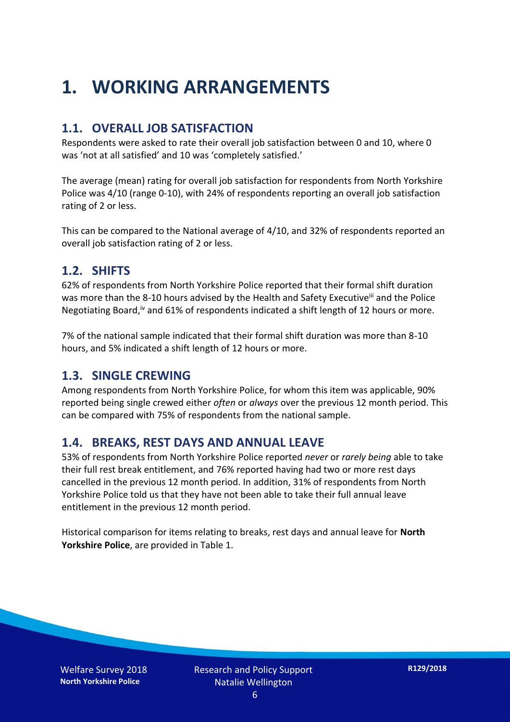# **1. WORKING ARRANGEMENTS**

#### **1.1. OVERALL JOB SATISFACTION**

Respondents were asked to rate their overall job satisfaction between 0 and 10, where 0 was 'not at all satisfied' and 10 was 'completely satisfied.'

The average (mean) rating for overall job satisfaction for respondents from North Yorkshire Police was 4/10 (range 0-10), with 24% of respondents reporting an overall job satisfaction rating of 2 or less.

This can be compared to the National average of 4/10, and 32% of respondents reported an overall job satisfaction rating of 2 or less.

#### **1.2. SHIFTS**

62% of respondents from North Yorkshire Police reported that their formal shift duration was more than the 8-10 hours advised by the Health and Safety Executive<sup>iii</sup> and the Police Negotiating Board,<sup>iv</sup> and 61% of respondents indicated a shift length of 12 hours or more.

7% of the national sample indicated that their formal shift duration was more than 8-10 hours, and 5% indicated a shift length of 12 hours or more.

#### **1.3. SINGLE CREWING**

Among respondents from North Yorkshire Police, for whom this item was applicable, 90% reported being single crewed either *often* or *always* over the previous 12 month period. This can be compared with 75% of respondents from the national sample.

#### **1.4. BREAKS, REST DAYS AND ANNUAL LEAVE**

53% of respondents from North Yorkshire Police reported *never* or *rarely being* able to take their full rest break entitlement, and 76% reported having had two or more rest days cancelled in the previous 12 month period. In addition, 31% of respondents from North Yorkshire Police told us that they have not been able to take their full annual leave entitlement in the previous 12 month period.

Historical comparison for items relating to breaks, rest days and annual leave for **North Yorkshire Police**, are provided in Table 1.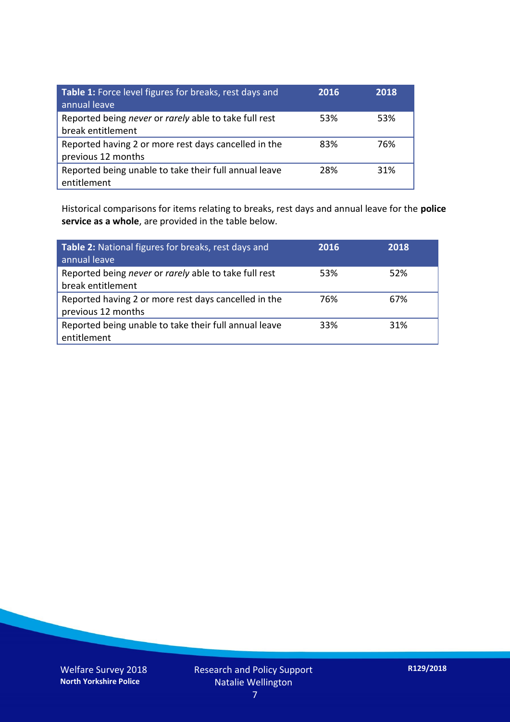| Table 1: Force level figures for breaks, rest days and<br>annual leave     | 2016 | 2018 |
|----------------------------------------------------------------------------|------|------|
| Reported being never or rarely able to take full rest<br>break entitlement | 53%  | 53%  |
| Reported having 2 or more rest days cancelled in the<br>previous 12 months | 83%  | 76%  |
| Reported being unable to take their full annual leave<br>entitlement       | 28%  | 31%  |

Historical comparisons for items relating to breaks, rest days and annual leave for the **police service as a whole**, are provided in the table below.

| Table 2: National figures for breaks, rest days and<br>annual leave        | 2016 | 2018 |
|----------------------------------------------------------------------------|------|------|
| Reported being never or rarely able to take full rest<br>break entitlement | 53%  | 52%  |
| Reported having 2 or more rest days cancelled in the<br>previous 12 months | 76%  | 67%  |
| Reported being unable to take their full annual leave<br>entitlement       | 33%  | 31%  |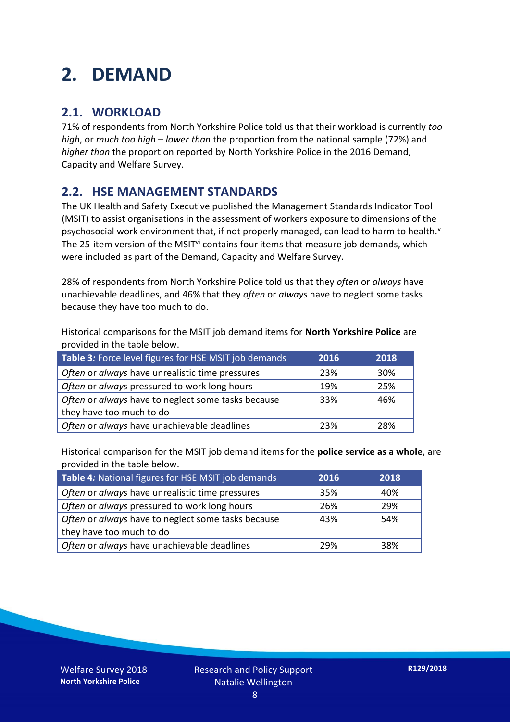# **2. DEMAND**

## **2.1. WORKLOAD**

71% of respondents from North Yorkshire Police told us that their workload is currently *too high*, or *much too high* – *lower than* the proportion from the national sample (72%) and *higher than* the proportion reported by North Yorkshire Police in the 2016 Demand, Capacity and Welfare Survey.

## **2.2. HSE MANAGEMENT STANDARDS**

The UK Health and Safety Executive published the Management Standards Indicator Tool (MSIT) to assist organisations in the assessment of workers exposure to dimensions of the psychosocial work environment that, if not properly managed, can lead to harm to health.<sup>v</sup> The 25-item version of the MSIT<sup>vi</sup> contains four items that measure job demands, which were included as part of the Demand, Capacity and Welfare Survey.

28% of respondents from North Yorkshire Police told us that they *often* or *always* have unachievable deadlines, and 46% that they *often* or *always* have to neglect some tasks because they have too much to do.

Historical comparisons for the MSIT job demand items for **North Yorkshire Police** are provided in the table below.

| Table 3: Force level figures for HSE MSIT job demands | 2016 | 2018 |
|-------------------------------------------------------|------|------|
| Often or always have unrealistic time pressures       | 23%  | 30%  |
| Often or always pressured to work long hours          | 19%  | 25%  |
| Often or always have to neglect some tasks because    | 33%  | 46%  |
| they have too much to do                              |      |      |
| Often or always have unachievable deadlines           | 23%  | 28%  |

Historical comparison for the MSIT job demand items for the **police service as a whole**, are provided in the table below.

| Table 4: National figures for HSE MSIT job demands | 2016 | 2018 |
|----------------------------------------------------|------|------|
| Often or always have unrealistic time pressures    | 35%  | 40%  |
| Often or always pressured to work long hours       | 26%  | 29%  |
| Often or always have to neglect some tasks because | 43%  | 54%  |
| they have too much to do                           |      |      |
| Often or always have unachievable deadlines        | 29%  | 38%  |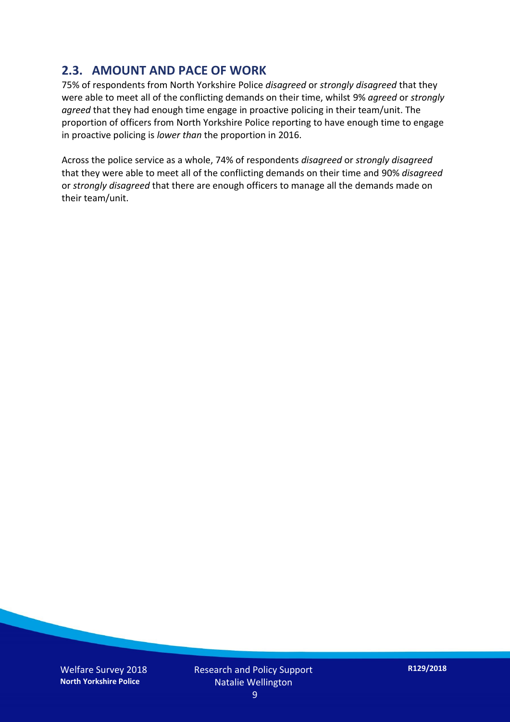### **2.3. AMOUNT AND PACE OF WORK**

75% of respondents from North Yorkshire Police *disagreed* or *strongly disagreed* that they were able to meet all of the conflicting demands on their time, whilst 9% *agreed* or *strongly agreed* that they had enough time engage in proactive policing in their team/unit. The proportion of officers from North Yorkshire Police reporting to have enough time to engage in proactive policing is *lower than* the proportion in 2016.

Across the police service as a whole, 74% of respondents *disagreed* or *strongly disagreed* that they were able to meet all of the conflicting demands on their time and 90% *disagreed* or *strongly disagreed* that there are enough officers to manage all the demands made on their team/unit.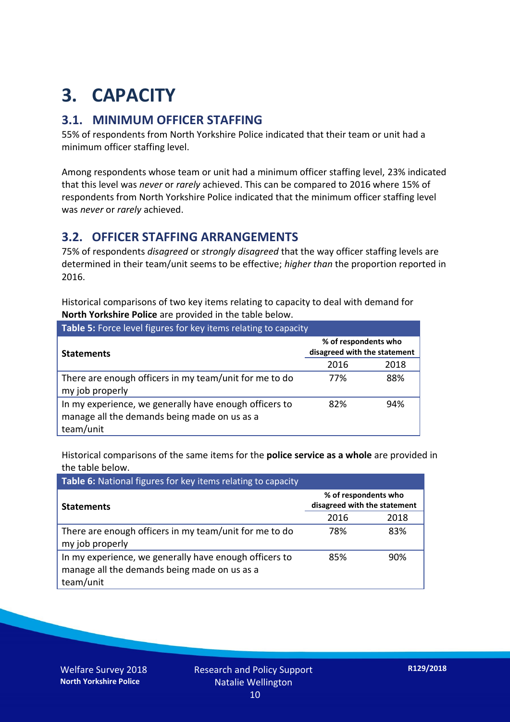# **3. CAPACITY**

### **3.1. MINIMUM OFFICER STAFFING**

55% of respondents from North Yorkshire Police indicated that their team or unit had a minimum officer staffing level.

Among respondents whose team or unit had a minimum officer staffing level, 23% indicated that this level was *never* or *rarely* achieved. This can be compared to 2016 where 15% of respondents from North Yorkshire Police indicated that the minimum officer staffing level was *never* or *rarely* achieved.

#### **3.2. OFFICER STAFFING ARRANGEMENTS**

75% of respondents *disagreed* or *strongly disagreed* that the way officer staffing levels are determined in their team/unit seems to be effective; *higher than* the proportion reported in 2016.

Historical comparisons of two key items relating to capacity to deal with demand for **North Yorkshire Police** are provided in the table below.

| Table 5: Force level figures for key items relating to capacity                                                     |                                                      |      |  |
|---------------------------------------------------------------------------------------------------------------------|------------------------------------------------------|------|--|
| <b>Statements</b>                                                                                                   | % of respondents who<br>disagreed with the statement |      |  |
|                                                                                                                     | 2016                                                 | 2018 |  |
| There are enough officers in my team/unit for me to do<br>my job properly                                           | 77%                                                  | 88%  |  |
| In my experience, we generally have enough officers to<br>manage all the demands being made on us as a<br>team/unit | 82%                                                  | 94%  |  |

Historical comparisons of the same items for the **police service as a whole** are provided in the table below.

| Table 6: National figures for key items relating to capacity                                                        |                                                      |      |  |  |
|---------------------------------------------------------------------------------------------------------------------|------------------------------------------------------|------|--|--|
| <b>Statements</b>                                                                                                   | % of respondents who<br>disagreed with the statement |      |  |  |
|                                                                                                                     | 2016                                                 | 2018 |  |  |
| There are enough officers in my team/unit for me to do<br>my job properly                                           | 78%                                                  | 83%  |  |  |
| In my experience, we generally have enough officers to<br>manage all the demands being made on us as a<br>team/unit | 85%                                                  | 90%  |  |  |

Welfare Survey 2018 **North Yorkshire Police**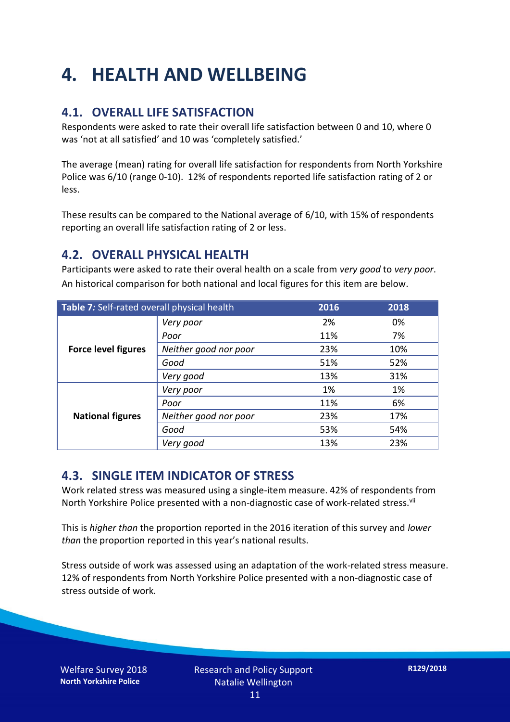# **4. HEALTH AND WELLBEING**

## **4.1. OVERALL LIFE SATISFACTION**

Respondents were asked to rate their overall life satisfaction between 0 and 10, where 0 was 'not at all satisfied' and 10 was 'completely satisfied.'

The average (mean) rating for overall life satisfaction for respondents from North Yorkshire Police was 6/10 (range 0-10). 12% of respondents reported life satisfaction rating of 2 or less.

These results can be compared to the National average of 6/10, with 15% of respondents reporting an overall life satisfaction rating of 2 or less.

### **4.2. OVERALL PHYSICAL HEALTH**

Participants were asked to rate their overal health on a scale from *very good* to *very poor*. An historical comparison for both national and local figures for this item are below.

| Table 7: Self-rated overall physical health |                       | 2016 | 2018 |
|---------------------------------------------|-----------------------|------|------|
| <b>Force level figures</b>                  | Very poor             | 2%   | 0%   |
|                                             | Poor                  | 11%  | 7%   |
|                                             | Neither good nor poor | 23%  | 10%  |
|                                             | Good                  | 51%  | 52%  |
|                                             | Very good             | 13%  | 31%  |
| <b>National figures</b>                     | Very poor             | 1%   | 1%   |
|                                             | Poor                  | 11%  | 6%   |
|                                             | Neither good nor poor | 23%  | 17%  |
|                                             | Good                  | 53%  | 54%  |
|                                             | Very good             | 13%  | 23%  |

### **4.3. SINGLE ITEM INDICATOR OF STRESS**

Work related stress was measured using a single-item measure. 42% of respondents from North Yorkshire Police presented with a non-diagnostic case of work-related stress.<sup>vii</sup>

This is *higher than* the proportion reported in the 2016 iteration of this survey and *lower than* the proportion reported in this year's national results.

Stress outside of work was assessed using an adaptation of the work-related stress measure. 12% of respondents from North Yorkshire Police presented with a non-diagnostic case of stress outside of work.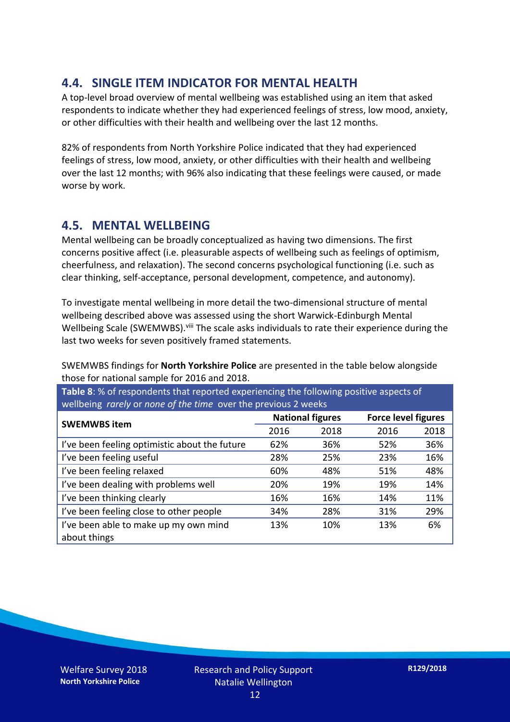### **4.4. SINGLE ITEM INDICATOR FOR MENTAL HEALTH**

A top-level broad overview of mental wellbeing was established using an item that asked respondents to indicate whether they had experienced feelings of stress, low mood, anxiety, or other difficulties with their health and wellbeing over the last 12 months.

82% of respondents from North Yorkshire Police indicated that they had experienced feelings of stress, low mood, anxiety, or other difficulties with their health and wellbeing over the last 12 months; with 96% also indicating that these feelings were caused, or made worse by work.

### **4.5. MENTAL WELLBEING**

Mental wellbeing can be broadly conceptualized as having two dimensions. The first concerns positive affect (i.e. pleasurable aspects of wellbeing such as feelings of optimism, cheerfulness, and relaxation). The second concerns psychological functioning (i.e. such as clear thinking, self-acceptance, personal development, competence, and autonomy).

To investigate mental wellbeing in more detail the two-dimensional structure of mental wellbeing described above was assessed using the short Warwick-Edinburgh Mental Wellbeing Scale (SWEMWBS). viii The scale asks individuals to rate their experience during the last two weeks for seven positively framed statements.

SWEMWBS findings for **North Yorkshire Police** are presented in the table below alongside those for national sample for 2016 and 2018.

**Table 8**: % of respondents that reported experiencing the following positive aspects of wellbeing *rarely* or *none of the time* over the previous 2 weeks

| <b>SWEMWBS item</b>                           | <b>National figures</b> |      | <b>Force level figures</b> |      |
|-----------------------------------------------|-------------------------|------|----------------------------|------|
|                                               | 2016                    | 2018 | 2016                       | 2018 |
| I've been feeling optimistic about the future | 62%                     | 36%  | 52%                        | 36%  |
| I've been feeling useful                      | 28%                     | 25%  | 23%                        | 16%  |
| I've been feeling relaxed                     | 60%                     | 48%  | 51%                        | 48%  |
| I've been dealing with problems well          | 20%                     | 19%  | 19%                        | 14%  |
| I've been thinking clearly                    | 16%                     | 16%  | 14%                        | 11%  |
| I've been feeling close to other people       | 34%                     | 28%  | 31%                        | 29%  |
| I've been able to make up my own mind         | 13%                     | 10%  | 13%                        | 6%   |
| about things                                  |                         |      |                            |      |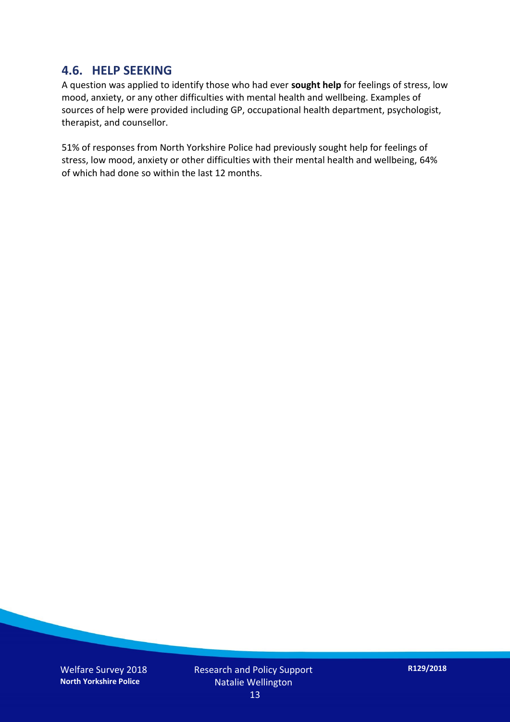#### **4.6. HELP SEEKING**

A question was applied to identify those who had ever **sought help** for feelings of stress, low mood, anxiety, or any other difficulties with mental health and wellbeing. Examples of sources of help were provided including GP, occupational health department, psychologist, therapist, and counsellor.

51% of responses from North Yorkshire Police had previously sought help for feelings of stress, low mood, anxiety or other difficulties with their mental health and wellbeing, 64% of which had done so within the last 12 months.

Welfare Survey 2018 **North Yorkshire Police**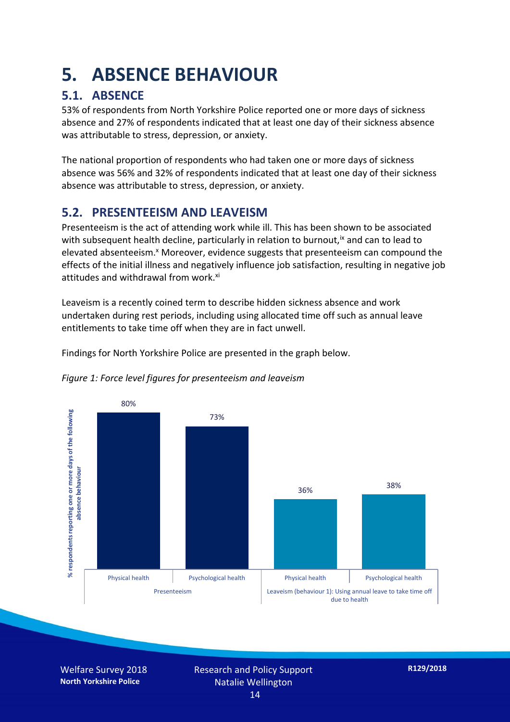# **5. ABSENCE BEHAVIOUR**

# **5.1. ABSENCE**

53% of respondents from North Yorkshire Police reported one or more days of sickness absence and 27% of respondents indicated that at least one day of their sickness absence was attributable to stress, depression, or anxiety.

The national proportion of respondents who had taken one or more days of sickness absence was 56% and 32% of respondents indicated that at least one day of their sickness absence was attributable to stress, depression, or anxiety.

### **5.2. PRESENTEEISM AND LEAVEISM**

Presenteeism is the act of attending work while ill. This has been shown to be associated with subsequent health decline, particularly in relation to burnout,  $\alpha$  and can to lead to elevated absenteeism.<sup>x</sup> Moreover, evidence suggests that presenteeism can compound the effects of the initial illness and negatively influence job satisfaction, resulting in negative job attitudes and withdrawal from work.<sup>xi</sup>

Leaveism is a recently coined term to describe hidden sickness absence and work undertaken during rest periods, including using allocated time off such as annual leave entitlements to take time off when they are in fact unwell.

Findings for North Yorkshire Police are presented in the graph below.





Welfare Survey 2018 **North Yorkshire Police**

Research and Policy Support Natalie Wellington 14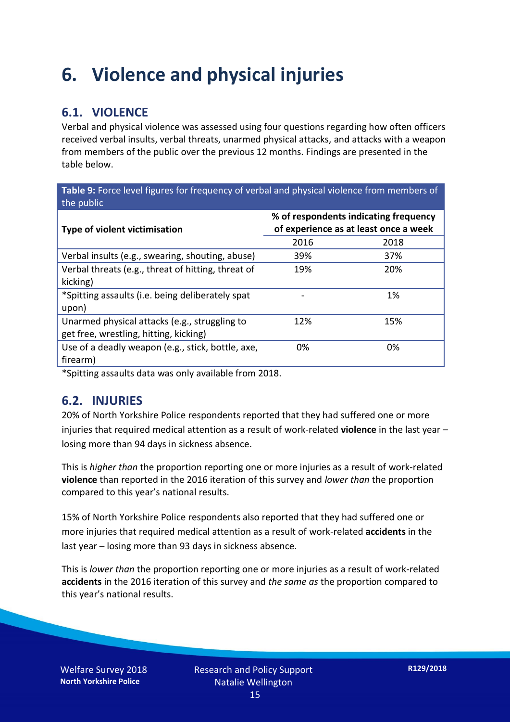# **6. Violence and physical injuries**

## **6.1. VIOLENCE**

Verbal and physical violence was assessed using four questions regarding how often officers received verbal insults, verbal threats, unarmed physical attacks, and attacks with a weapon from members of the public over the previous 12 months. Findings are presented in the table below.

**Table 9:** Force level figures for frequency of verbal and physical violence from members of the public

| Type of violent victimisation                      | % of respondents indicating frequency<br>of experience as at least once a week |      |  |
|----------------------------------------------------|--------------------------------------------------------------------------------|------|--|
|                                                    | 2016                                                                           | 2018 |  |
| Verbal insults (e.g., swearing, shouting, abuse)   | 39%                                                                            | 37%  |  |
| Verbal threats (e.g., threat of hitting, threat of | 19%                                                                            | 20%  |  |
| kicking)                                           |                                                                                |      |  |
| *Spitting assaults (i.e. being deliberately spat   |                                                                                | 1%   |  |
| upon)                                              |                                                                                |      |  |
| Unarmed physical attacks (e.g., struggling to      | 12%                                                                            | 15%  |  |
| get free, wrestling, hitting, kicking)             |                                                                                |      |  |
| Use of a deadly weapon (e.g., stick, bottle, axe,  | 0%                                                                             | 0%   |  |
| firearm)                                           |                                                                                |      |  |

\*Spitting assaults data was only available from 2018.

#### **6.2. INJURIES**

20% of North Yorkshire Police respondents reported that they had suffered one or more injuries that required medical attention as a result of work-related **violence** in the last year – losing more than 94 days in sickness absence.

This is *higher than* the proportion reporting one or more injuries as a result of work-related **violence** than reported in the 2016 iteration of this survey and *lower than* the proportion compared to this year's national results.

15% of North Yorkshire Police respondents also reported that they had suffered one or more injuries that required medical attention as a result of work-related **accidents** in the last year – losing more than 93 days in sickness absence.

This is *lower than* the proportion reporting one or more injuries as a result of work-related **accidents** in the 2016 iteration of this survey and *the same as* the proportion compared to this year's national results.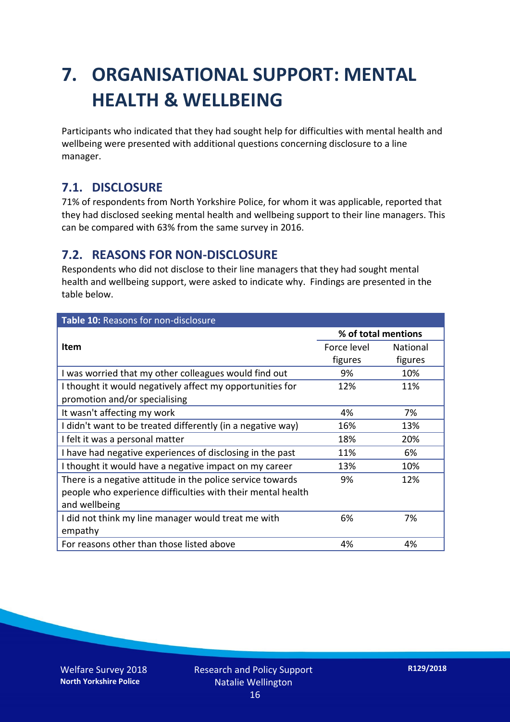# **7. ORGANISATIONAL SUPPORT: MENTAL HEALTH & WELLBEING**

Participants who indicated that they had sought help for difficulties with mental health and wellbeing were presented with additional questions concerning disclosure to a line manager.

### **7.1. DISCLOSURE**

71% of respondents from North Yorkshire Police, for whom it was applicable, reported that they had disclosed seeking mental health and wellbeing support to their line managers. This can be compared with 63% from the same survey in 2016.

### **7.2. REASONS FOR NON-DISCLOSURE**

Respondents who did not disclose to their line managers that they had sought mental health and wellbeing support, were asked to indicate why. Findings are presented in the table below.

| Table 10: Reasons for non-disclosure                        |                     |                 |  |
|-------------------------------------------------------------|---------------------|-----------------|--|
|                                                             | % of total mentions |                 |  |
| Item                                                        | Force level         | <b>National</b> |  |
|                                                             | figures             | figures         |  |
| I was worried that my other colleagues would find out       | 9%                  | 10%             |  |
| I thought it would negatively affect my opportunities for   | 12%                 | 11%             |  |
| promotion and/or specialising                               |                     |                 |  |
| It wasn't affecting my work                                 | 4%                  | 7%              |  |
| I didn't want to be treated differently (in a negative way) | 16%                 | 13%             |  |
| I felt it was a personal matter                             | 18%                 | 20%             |  |
| I have had negative experiences of disclosing in the past   | 11%                 | 6%              |  |
| I thought it would have a negative impact on my career      | 13%                 | 10%             |  |
| There is a negative attitude in the police service towards  | 9%                  | 12%             |  |
| people who experience difficulties with their mental health |                     |                 |  |
| and wellbeing                                               |                     |                 |  |
| I did not think my line manager would treat me with         | 6%                  | 7%              |  |
| empathy                                                     |                     |                 |  |
| For reasons other than those listed above                   | 4%                  | 4%              |  |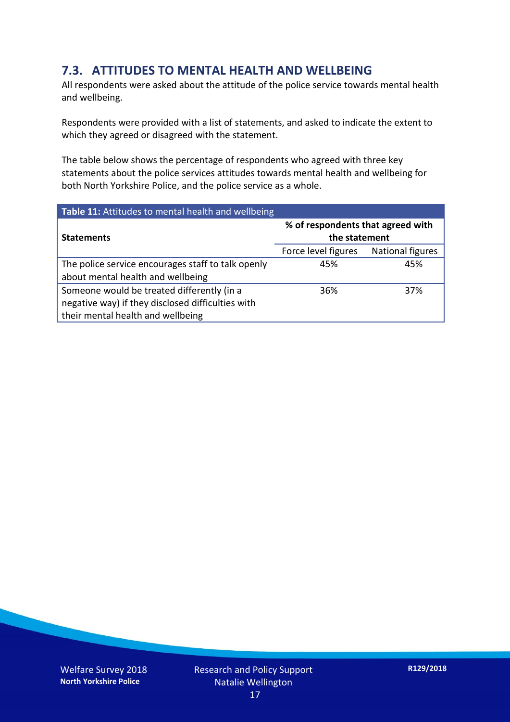### **7.3. ATTITUDES TO MENTAL HEALTH AND WELLBEING**

All respondents were asked about the attitude of the police service towards mental health and wellbeing.

Respondents were provided with a list of statements, and asked to indicate the extent to which they agreed or disagreed with the statement.

The table below shows the percentage of respondents who agreed with three key statements about the police services attitudes towards mental health and wellbeing for both North Yorkshire Police, and the police service as a whole.

| Table 11: Attitudes to mental health and wellbeing |                                                    |                  |  |
|----------------------------------------------------|----------------------------------------------------|------------------|--|
| <b>Statements</b>                                  | % of respondents that agreed with<br>the statement |                  |  |
|                                                    | Force level figures                                | National figures |  |
| The police service encourages staff to talk openly | 45%                                                | 45%              |  |
| about mental health and wellbeing                  |                                                    |                  |  |
| Someone would be treated differently (in a         | 36%                                                | 37%              |  |
| negative way) if they disclosed difficulties with  |                                                    |                  |  |
| their mental health and wellbeing                  |                                                    |                  |  |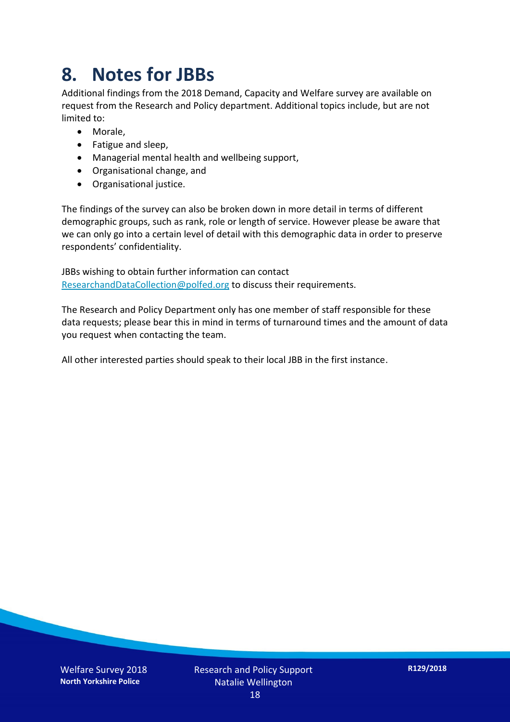# **8. Notes for JBBs**

Additional findings from the 2018 Demand, Capacity and Welfare survey are available on request from the Research and Policy department. Additional topics include, but are not limited to:

- Morale,
- Fatigue and sleep,
- Managerial mental health and wellbeing support,
- Organisational change, and
- Organisational justice.

The findings of the survey can also be broken down in more detail in terms of different demographic groups, such as rank, role or length of service. However please be aware that we can only go into a certain level of detail with this demographic data in order to preserve respondents' confidentiality.

JBBs wishing to obtain further information can contact [ResearchandDataCollection@polfed.org](mailto:ResearchandDataCollection@polfed.org) to discuss their requirements.

The Research and Policy Department only has one member of staff responsible for these data requests; please bear this in mind in terms of turnaround times and the amount of data you request when contacting the team.

All other interested parties should speak to their local JBB in the first instance.